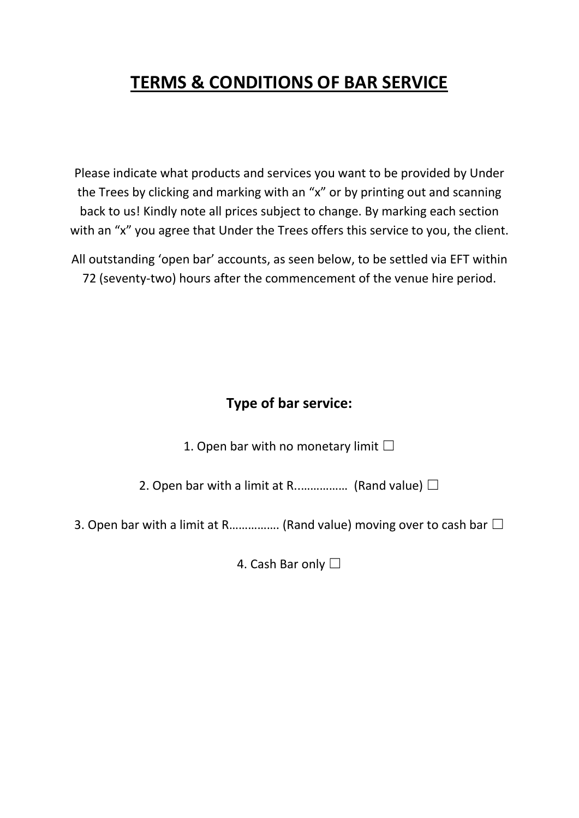## **TERMS & CONDITIONS OF BAR SERVICE**

Please indicate what products and services you want to be provided by Under the Trees by clicking and marking with an "x" or by printing out and scanning back to us! Kindly note all prices subject to change. By marking each section with an "x" you agree that Under the Trees offers this service to you, the client.

All outstanding 'open bar' accounts, as seen below, to be settled via EFT within 72 (seventy-two) hours after the commencement of the venue hire period.

## **Type of bar service:**

1. Open bar with no monetary limit  $□$ 

2. Open bar with a limit at R................. (Rand value)  $\Box$ 

3. Open bar with a limit at R……………. (Rand value) moving over to cash bar  $\Box$ 

4. Cash Bar only □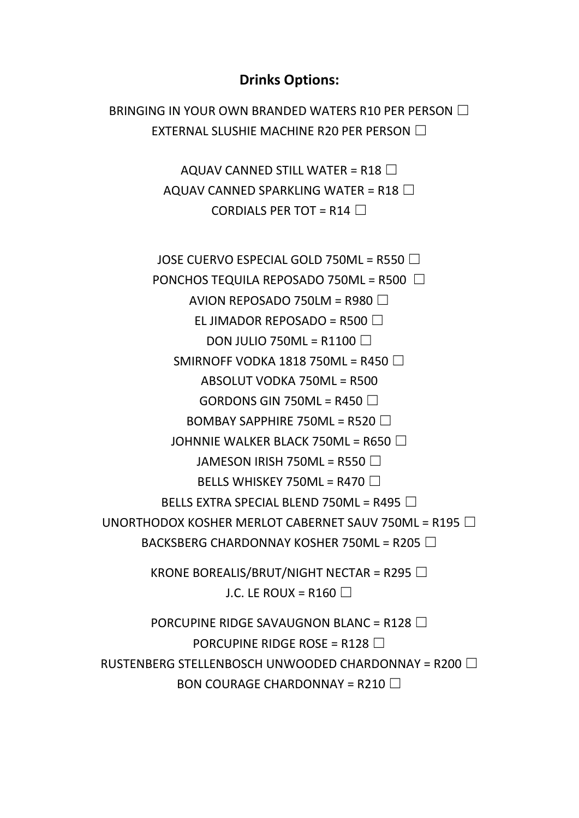## **Drinks Options:**

BRINGING IN YOUR OWN BRANDED WATERS R10 PER PERSON □ EXTERNAL SLUSHIE MACHINE R20 PER PERSON □

> AQUAV CANNED STILL WATER = R18  $\Box$ AQUAV CANNED SPARKLING WATER = R18  $\Box$ CORDIALS PER TOT = R14  $\Box$

JOSE CUERVO ESPECIAL GOLD 750ML = R550 □

PONCHOS TEQUILA REPOSADO 750ML = R500  $\Box$ 

AVION REPOSADO 750LM = R980  $\Box$ 

EL JIMADOR REPOSADO = R500  $\Box$ 

DON JULIO 750ML = R1100  $\Box$ 

SMIRNOFF VODKA 1818 750ML = R450  $\Box$ 

ABSOLUT VODKA 750ML = R500

GORDONS GIN 750ML =  $R450 \Box$ 

BOMBAY SAPPHIRE 750ML = R520  $\Box$ 

JOHNNIE WALKER BLACK 750ML = R650  $\Box$ 

JAMESON IRISH 750ML = R550  $\Box$ 

BELLS WHISKEY 750ML = R470  $\Box$ 

BELLS EXTRA SPECIAL BLEND 750ML = R495  $\Box$ 

UNORTHODOX KOSHER MERLOT CABERNET SAUV 750ML = R195  $\Box$ 

BACKSBERG CHARDONNAY KOSHER 750ML = R205  $\Box$ 

KRONE BOREALIS/BRUT/NIGHT NECTAR = R295  $\Box$ J.C. LE ROUX = R160  $\Box$ 

```
PORCUPINE RIDGE SAVAUGNON BLANC = R128 \BoxPORCUPINE RIDGE ROSE = R128 \BoxRUSTENBERG STELLENBOSCH UNWOODED CHARDONNAY = R200 \BoxBON COURAGE CHARDONNAY = R210 \Box
```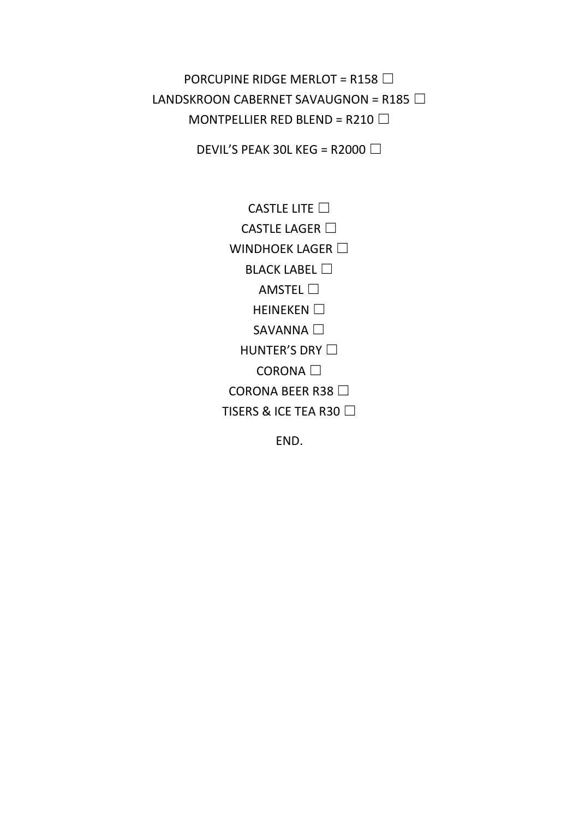PORCUPINE RIDGE MERLOT = R158  $\Box$ LANDSKROON CABERNET SAVAUGNON = R185  $\Box$ MONTPELLIER RED BLEND = R210  $\Box$ 

DEVIL'S PEAK 30L KEG = R2000  $\Box$ 

CASTLE LITE  $□$ CASTLE LAGER □ WINDHOEK LAGER □ **BLACK LABEL** □ AMSTEL  $\square$ HEINEKEN □ SAVANNA □ HUNTER'S DRY □ CORONA □ CORONA BEER R38 □ TISERS & ICE TEA R30 □

END.